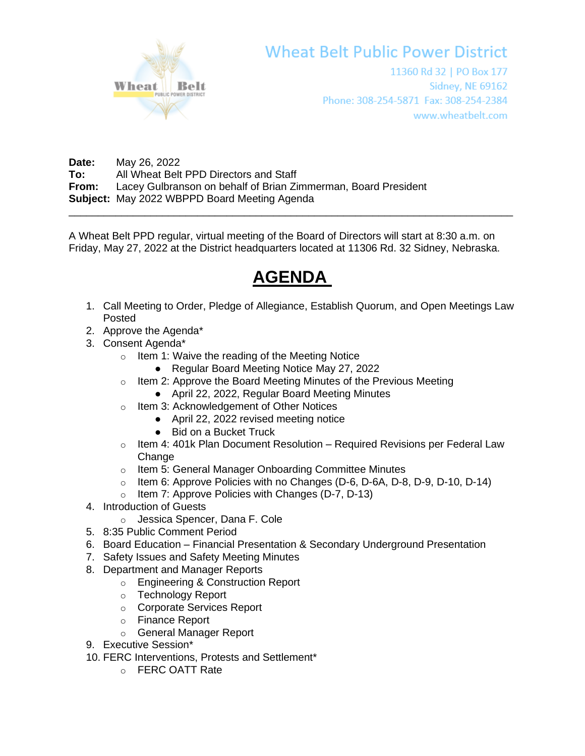

## **Wheat Belt Public Power District**

11360 Rd 32 | PO Box 177 **Sidney, NE 69162** Phone: 308-254-5871 Fax: 308-254-2384 www.wheatbelt.com

**Date:** May 26, 2022 **To:** All Wheat Belt PPD Directors and Staff **From:** Lacey Gulbranson on behalf of Brian Zimmerman, Board President **Subject:** May 2022 WBPPD Board Meeting Agenda \_\_\_\_\_\_\_\_\_\_\_\_\_\_\_\_\_\_\_\_\_\_\_\_\_\_\_\_\_\_\_\_\_\_\_\_\_\_\_\_\_\_\_\_\_\_\_\_\_\_\_\_\_\_\_\_\_\_\_\_\_\_\_\_\_\_\_\_\_\_\_\_\_\_\_\_

A Wheat Belt PPD regular, virtual meeting of the Board of Directors will start at 8:30 a.m. on Friday, May 27, 2022 at the District headquarters located at 11306 Rd. 32 Sidney, Nebraska.

## **AGENDA**

- 1. Call Meeting to Order, Pledge of Allegiance, Establish Quorum, and Open Meetings Law Posted
- 2. Approve the Agenda\*
- 3. Consent Agenda\*
	- o Item 1: Waive the reading of the Meeting Notice
		- Regular Board Meeting Notice May 27, 2022
	- $\circ$  Item 2: Approve the Board Meeting Minutes of the Previous Meeting
		- April 22, 2022, Regular Board Meeting Minutes
	- o Item 3: Acknowledgement of Other Notices
		- April 22, 2022 revised meeting notice
		- Bid on a Bucket Truck
	- $\circ$  Item 4: 401k Plan Document Resolution Required Revisions per Federal Law **Change**
	- o Item 5: General Manager Onboarding Committee Minutes
	- $\circ$  Item 6: Approve Policies with no Changes (D-6, D-6A, D-8, D-9, D-10, D-14)
	- o Item 7: Approve Policies with Changes (D-7, D-13)
- 4. Introduction of Guests
	- o Jessica Spencer, Dana F. Cole
- 5. 8:35 Public Comment Period
- 6. Board Education Financial Presentation & Secondary Underground Presentation
- 7. Safety Issues and Safety Meeting Minutes
- 8. Department and Manager Reports
	- o Engineering & Construction Report
	- o Technology Report
	- o Corporate Services Report
	- o Finance Report
	- o General Manager Report
- 9. Executive Session\*
- 10. FERC Interventions, Protests and Settlement\*
	- o FERC OATT Rate